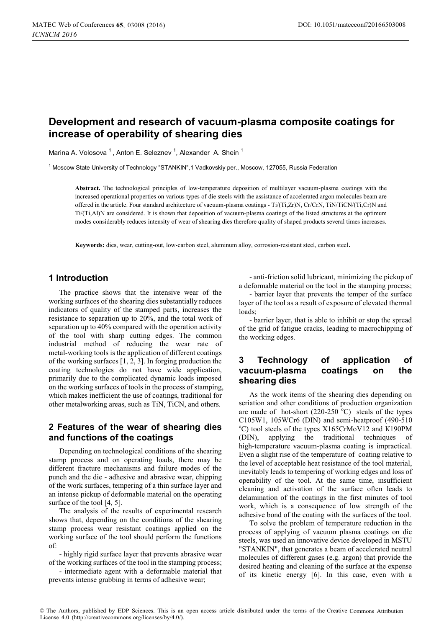# **Development and research of vacuum-plasma composite coatings for increase of operability of shearing dies**

Marina A. Volosova<sup>1</sup>, Anton E. Seleznev<sup>1</sup>, Alexander A. Shein<sup>1</sup>

1 Moscow State University of Technology "STANKIN",1 Vadkovskiy per., Moscow, 127055, Russia Federation

**Abstract.** The technological principles of low-temperature deposition of multilayer vacuum-plasma coatings with the increased operational properties on various types of die steels with the assistance of accelerated argon molecules beam are offered in the article. Four standard architecture of vacuum-plasma coatings - Ti/(Ti,Zr)N, Cr/CrN, TiN/TiCN/(Ti,Cr)N and Ti/(Ti,Al)N are considered. It is shown that deposition of vacuum-plasma coatings of the listed structures at the optimum modes considerably reduces intensity of wear of shearing dies therefore quality of shaped products several times increases.

**Keywords:** dies, wear, cutting-out, low-carbon steel, aluminum alloy, corrosion-resistant steel, carbon steel.

#### **1 Introduction**

The practice shows that the intensive wear of the working surfaces of the shearing dies substantially reduces indicators of quality of the stamped parts, increases the resistance to separation up to 20%, and the total work of separation up to 40% compared with the operation activity of the tool with sharp cutting edges. The common industrial method of reducing the wear rate of metal-working tools is the application of different coatings of the working surfaces [1, 2, 3]. In forging production the coating technologies do not have wide application, primarily due to the complicated dynamic loads imposed on the working surfaces of tools in the process of stamping, which makes inefficient the use of coatings, traditional for other metalworking areas, such as TiN, TiCN, and others.

## **2 Features of the wear of shearing dies and functions of the coatings**

Depending on technological conditions of the shearing stamp process and on operating loads, there may be different fracture mechanisms and failure modes of the punch and the die - adhesive and abrasive wear, chipping of the work surfaces, tempering of a thin surface layer and an intense pickup of deformable material on the operating surface of the tool [4, 5].

The analysis of the results of experimental research shows that, depending on the conditions of the shearing stamp process wear resistant coatings applied on the working surface of the tool should perform the functions of:

- highly rigid surface layer that prevents abrasive wear of the working surfaces of the tool in the stamping process;

- intermediate agent with a deformable material that prevents intense grabbing in terms of adhesive wear;

- anti-friction solid lubricant, minimizing the pickup of a deformable material on the tool in the stamping process;

- barrier layer that prevents the temper of the surface layer of the tool as a result of exposure of elevated thermal loads;

- barrier layer, that is able to inhibit or stop the spread of the grid of fatigue cracks, leading to macrochipping of the working edges.

## **3 Technology of application of vacuum-plasma coatings on the shearing dies**

As the work items of the shearing dies depending on seriation and other conditions of production organization are made of hot-short  $(220-250 \degree C)$  steals of the types C105W1, 105WCr6 (DIN) and semi-heatproof (490-510 °C) tool steels of the types X165CrMoV12 and K190PM (DIN), applying the traditional techniques of high-temperature vacuum-plasma coating is impractical. Even a slight rise of the temperature of coating relative to the level of acceptable heat resistance of the tool material, inevitably leads to tempering of working edges and loss of operability of the tool. At the same time, insufficient cleaning and activation of the surface often leads to delamination of the coatings in the first minutes of tool work, which is a consequence of low strength of the adhesive bond of the coating with the surfaces of the tool.

To solve the problem of temperature reduction in the process of applying of vacuum plasma coatings on die steels, was used an innovative device developed in MSTU "STANKIN", that generates a beam of accelerated neutral molecules of different gases (e.g. argon) that provide the desired heating and cleaning of the surface at the expense of its kinetic energy [6]. In this case, even with a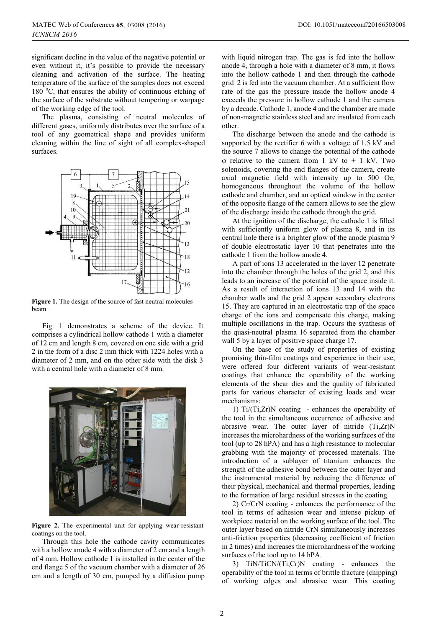significant decline in the value of the negative potential or even without it, it's possible to provide the necessary cleaning and activation of the surface. The heating temperature of the surface of the samples does not exceed 180 °C, that ensures the ability of continuous etching of the surface of the substrate without tempering or warpage of the working edge of the tool.

The plasma, consisting of neutral molecules of different gases, uniformly distributes over the surface of a tool of any geometrical shape and provides uniform cleaning within the line of sight of all complex-shaped surfaces.



**Figure 1.** The design of the source of fast neutral molecules beam.

Fig. 1 demonstrates a scheme of the device. It comprises a cylindrical hollow cathode 1 with a diameter of 12 cm and length 8 cm, covered on one side with a grid 2 in the form of a disc 2 mm thick with 1224 holes with a diameter of 2 mm, and on the other side with the disk 3 with a central hole with a diameter of 8 mm.



**Figure 2.** The experimental unit for applying wear-resistant coatings on the tool.

Through this hole the cathode cavity communicates with a hollow anode 4 with a diameter of 2 cm and a length of 4 mm. Hollow cathode 1 is installed in the center of the end flange 5 of the vacuum chamber with a diameter of 26 cm and a length of 30 cm, pumped by a diffusion pump

with liquid nitrogen trap. The gas is fed into the hollow anode 4, through a hole with a diameter of 8 mm, it flows into the hollow cathode 1 and then through the cathode grid 2 is fed into the vacuum chamber. At a sufficient flow rate of the gas the pressure inside the hollow anode 4 exceeds the pressure in hollow cathode 1 and the camera by a decade. Cathode 1, anode 4 and the chamber are made of non-magnetic stainless steel and are insulated from each other.

The discharge between the anode and the cathode is supported by the rectifier 6 with a voltage of 1.5 kV and the source 7 allows to change the potential of the cathode  $\varphi$  relative to the camera from 1 kV to + 1 kV. Two solenoids, covering the end flanges of the camera, create axial magnetic field with intensity up to 500 Oе, homogeneous throughout the volume of the hollow cathode and chamber, and an optical window in the center of the opposite flange of the camera allows to see the glow of the discharge inside the cathode through the grid.

At the ignition of the discharge, the cathode 1 is filled with sufficiently uniform glow of plasma 8, and in its central hole there is a brighter glow of the anode plasma 9 of double electrostatic layer 10 that penetrates into the cathode 1 from the hollow anode 4.

A part of ions 13 accelerated in the layer 12 penetrate into the chamber through the holes of the grid 2, and this leads to an increase of the potential of the space inside it. As a result of interaction of ions 13 and 14 with the chamber walls and the grid 2 appear secondary electrons 15. They are captured in an electrostatic trap of the space charge of the ions and compensate this charge, making multiple oscillations in the trap. Occurs the synthesis of the quasi-neutral plasma 16 separated from the chamber wall 5 by a layer of positive space charge 17.

On the base of the study of properties of existing promising thin-film coatings and experience in their use, were offered four different variants of wear-resistant coatings that enhance the operability of the working elements of the shear dies and the quality of fabricated parts for various character of existing loads and wear mechanisms:

1) Ti/(Ti,Zr)N coating - enhances the operability of the tool in the simultaneous occurrence of adhesive and abrasive wear. The outer layer of nitride (Ti,Zr)N increases the microhardness of the working surfaces of the tool (up to 28 hPA) and has a high resistance to molecular grabbing with the majority of processed materials. The introduction of a sublayer of titanium enhances the strength of the adhesive bond between the outer layer and the instrumental material by reducing the difference of their physical, mechanical and thermal properties, leading to the formation of large residual stresses in the coating.

2) Cr/CrN coating - enhances the performance of the tool in terms of adhesion wear and intense pickup of workpiece material on the working surface of the tool. The outer layer based on nitride CrN simultaneously increases anti-friction properties (decreasing coefficient of friction in 2 times) and increases the microhardness of the working surfaces of the tool up to 14 hPA.

3) TiN/TiCN/(Ti,Cr)N coating - enhances the operability of the tool in terms of brittle fracture (chipping) of working edges and abrasive wear. This coating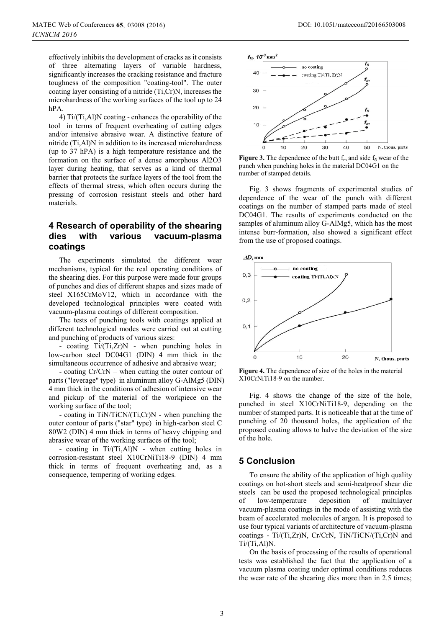effectively inhibits the development of cracks as it consists of three alternating layers of variable hardness, significantly increases the cracking resistance and fracture toughness of the composition "coating-tool". The outer coating layer consisting of a nitride (Ti,Cr)N, increases the microhardness of the working surfaces of the tool up to 24 hPA.

4) Ti/(Ti,Al)N coating - enhances the operability of the tool in terms of frequent overheating of cutting edges and/or intensive abrasive wear. A distinctive feature of nitride (Ti,Al)N in addition to its increased microhardness (up to 37 hPA) is a high temperature resistance and the formation on the surface of a dense amorphous Al2O3 layer during heating, that serves as a kind of thermal barrier that protects the surface layers of the tool from the effects of thermal stress, which often occurs during the pressing of corrosion resistant steels and other hard materials.

## **4 Research of operability of the shearing dies with various vacuum-plasma coatings**

The experiments simulated the different wear mechanisms, typical for the real operating conditions of the shearing dies. For this purpose were made four groups of punches and dies of different shapes and sizes made of steel X165CrMoV12, which in accordance with the developed technological principles were coated with vacuum-plasma coatings of different composition.

The tests of punching tools with coatings applied at different technological modes were carried out at cutting and punching of products of various sizes:

- coating Ti/(Ti,Zr)N - when punching holes in low-carbon steel DC04G1 (DIN) 4 mm thick in the simultaneous occurrence of adhesive and abrasive wear;

- coating Cr/CrN – when cutting the outer contour of parts ("leverage" type) in aluminum alloy G-AlMg5 (DIN) 4 mm thick in the conditions of adhesion of intensive wear and pickup of the material of the workpiece on the working surface of the tool;

- coating in TiN/TiCN/(Ti,Cr)N - when punching the outer contour of parts ("star" type) in high-carbon steel C 80W2 (DIN) 4 mm thick in terms of heavy chipping and abrasive wear of the working surfaces of the tool;

- coating in Ti/(Ti,Al)N - when cutting holes in corrosion-resistant steel X10CrNiTi18-9 (DIN) 4 mm thick in terms of frequent overheating and, as a consequence, tempering of working edges.



**Figure 3.** The dependence of the butt  $f_m$  and side  $f_6$  wear of the punch when punching holes in the material DC04G1 on the number of stamped details.

Fig. 3 shows fragments of experimental studies of dependence of the wear of the punch with different coatings on the number of stamped parts made of steel DC04G1. The results of experiments conducted on the samples of aluminum alloy G-AlMg5, which has the most intense burr-formation, also showed a significant effect from the use of proposed coatings.



**Figure 4.** The dependence of size of the holes in the material X10CrNiTi18-9 on the number.

Fig. 4 shows the change of the size of the hole, punched in steel X10CrNiTi18-9, depending on the number of stamped parts. It is noticeable that at the time of punching of 20 thousand holes, the application of the proposed coating allows to halve the deviation of the size of the hole.

### **5 Conclusion**

To ensure the ability of the application of high quality coatings on hot-short steels and semi-heatproof shear die steels can be used the proposed technological principles<br>of low-temperature deposition of multilayer of low-temperature deposition of multilayer vacuum-plasma coatings in the mode of assisting with the beam of accelerated molecules of argon. It is proposed to use four typical variants of architecture of vacuum-plasma coatings - Ti/(Ti,Zr)N, Cr/CrN, TiN/TiCN/(Ti,Cr)N and Ti/(Ti,Al)N.

On the basis of processing of the results of operational tests was established the fact that the application of a vacuum plasma coating under optimal conditions reduces the wear rate of the shearing dies more than in 2.5 times;